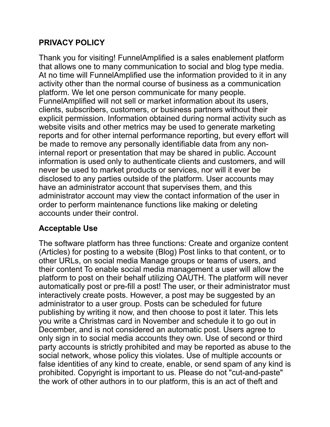## **PRIVACY POLICY**

Thank you for visiting! FunnelAmplified is a sales enablement platform that allows one to many communication to social and blog type media. At no time will FunnelAmplified use the information provided to it in any activity other than the normal course of business as a communication platform. We let one person communicate for many people. FunnelAmplified will not sell or market information about its users, clients, subscribers, customers, or business partners without their explicit permission. Information obtained during normal activity such as website visits and other metrics may be used to generate marketing reports and for other internal performance reporting, but every effort will be made to remove any personally identifiable data from any noninternal report or presentation that may be shared in public. Account information is used only to authenticate clients and customers, and will never be used to market products or services, nor will it ever be disclosed to any parties outside of the platform. User accounts may have an administrator account that supervises them, and this administrator account may view the contact information of the user in order to perform maintenance functions like making or deleting accounts under their control.

# **Acceptable Use**

The software platform has three functions: Create and organize content (Articles) for posting to a website (Blog) Post links to that content, or to other URLs, on social media Manage groups or teams of users, and their content To enable social media management a user will allow the platform to post on their behalf utilizing OAUTH. The platform will never automatically post or pre-fill a post! The user, or their administrator must interactively create posts. However, a post may be suggested by an administrator to a user group. Posts can be scheduled for future publishing by writing it now, and then choose to post it later. This lets you write a Christmas card in November and schedule it to go out in December, and is not considered an automatic post. Users agree to only sign in to social media accounts they own. Use of second or third party accounts is strictly prohibited and may be reported as abuse to the social network, whose policy this violates. Use of multiple accounts or false identities of any kind to create, enable, or send spam of any kind is prohibited. Copyright is important to us. Please do not "cut-and-paste" the work of other authors in to our platform, this is an act of theft and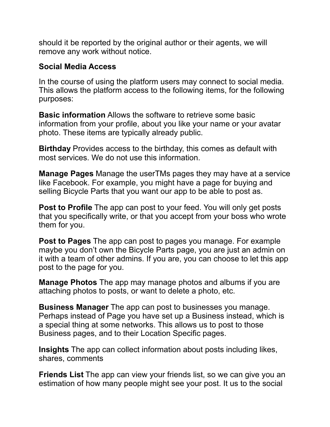should it be reported by the original author or their agents, we will remove any work without notice.

### **Social Media Access**

In the course of using the platform users may connect to social media. This allows the platform access to the following items, for the following purposes:

**Basic information** Allows the software to retrieve some basic information from your profile, about you like your name or your avatar photo. These items are typically already public.

**Birthday** Provides access to the birthday, this comes as default with most services. We do not use this information.

**Manage Pages** Manage the userTMs pages they may have at a service like Facebook. For example, you might have a page for buying and selling Bicycle Parts that you want our app to be able to post as.

**Post to Profile** The app can post to your feed. You will only get posts that you specifically write, or that you accept from your boss who wrote them for you.

**Post to Pages** The app can post to pages you manage. For example maybe you don't own the Bicycle Parts page, you are just an admin on it with a team of other admins. If you are, you can choose to let this app post to the page for you.

**Manage Photos** The app may manage photos and albums if you are attaching photos to posts, or want to delete a photo, etc.

**Business Manager** The app can post to businesses you manage. Perhaps instead of Page you have set up a Business instead, which is a special thing at some networks. This allows us to post to those Business pages, and to their Location Specific pages.

**Insights** The app can collect information about posts including likes, shares, comments

**Friends List** The app can view your friends list, so we can give you an estimation of how many people might see your post. It us to the social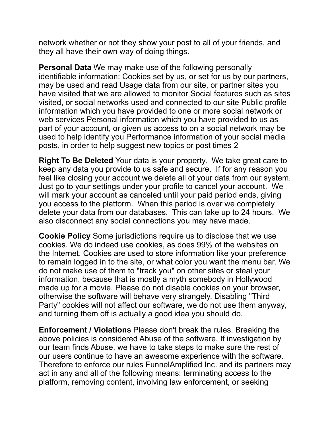network whether or not they show your post to all of your friends, and they all have their own way of doing things.

**Personal Data** We may make use of the following personally identifiable information: Cookies set by us, or set for us by our partners, may be used and read Usage data from our site, or partner sites you have visited that we are allowed to monitor Social features such as sites visited, or social networks used and connected to our site Public profile information which you have provided to one or more social network or web services Personal information which you have provided to us as part of your account, or given us access to on a social network may be used to help identify you Performance information of your social media posts, in order to help suggest new topics or post times 2

**Right To Be Deleted** Your data is your property. We take great care to keep any data you provide to us safe and secure. If for any reason you feel like closing your account we delete all of your data from our system. Just go to your settings under your profile to cancel your account. We will mark your account as canceled until your paid period ends, giving you access to the platform. When this period is over we completely delete your data from our databases. This can take up to 24 hours. We also disconnect any social connections you may have made.

**Cookie Policy** Some jurisdictions require us to disclose that we use cookies. We do indeed use cookies, as does 99% of the websites on the Internet. Cookies are used to store information like your preference to remain logged in to the site, or what color you want the menu bar. We do not make use of them to "track you" on other sites or steal your information, because that is mostly a myth somebody in Hollywood made up for a movie. Please do not disable cookies on your browser, otherwise the software will behave very strangely. Disabling "Third Party" cookies will not affect our software, we do not use them anyway, and turning them off is actually a good idea you should do.

**Enforcement / Violations** Please don't break the rules. Breaking the above policies is considered Abuse of the software. If investigation by our team finds Abuse, we have to take steps to make sure the rest of our users continue to have an awesome experience with the software. Therefore to enforce our rules FunnelAmplified Inc. and its partners may act in any and all of the following means: terminating access to the platform, removing content, involving law enforcement, or seeking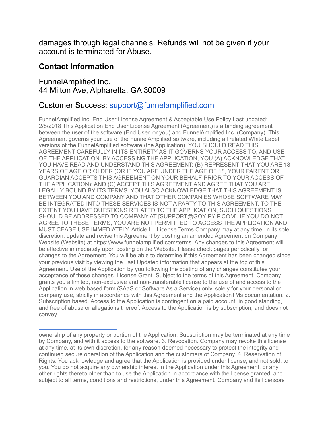damages through legal channels. Refunds will not be given if your account is terminated for Abuse.

#### **Contact Information**

#### FunnelAmplified Inc. 44 Milton Ave, Alpharetta, GA 30009

### Customer Success: support@funnelamplified.com

FunnelAmplified Inc. End User License Agreement & Acceptable Use Policy Last updated: 2/8/2018 This Application End User License Agreement (Agreement) is a binding agreement between the user of the software (End User, or you) and FunnelAmplified Inc. (Company). This Agreement governs your use of the FunnelAmplified software, including all related White Label versions of the FunnelAmplified software (the Application). YOU SHOULD READ THIS AGREEMENT CAREFULLY IN ITS ENTIRETY AS IT GOVERNS YOUR ACCESS TO, AND USE OF, THE APPLICATION. BY ACCESSING THE APPLICATION, YOU (A) ACKNOWLEDGE THAT YOU HAVE READ AND UNDERSTAND THIS AGREEMENT; (B) REPRESENT THAT YOU ARE 18 YEARS OF AGE OR OLDER (OR IF YOU ARE UNDER THE AGE OF 18, YOUR PARENT OR GUARDIAN ACCEPTS THIS AGREEMENT ON YOUR BEHALF PRIOR TO YOUR ACCESS OF THE APPLICATION); AND (C) ACCEPT THIS AGREEMENT AND AGREE THAT YOU ARE LEGALLY BOUND BY ITS TERMS. YOU ALSO ACKNOWLEDGE THAT THIS AGREEMENT IS BETWEEN YOU AND COMPANY AND THAT OTHER COMPANIES WHOSE SOFTWARE MAY BE INTEGRATED INTO THESE SERVICES IS NOT A PARTY TO THIS AGREEMENT. TO THE EXTENT YOU HAVE QUESTIONS RELATED TO THE APPLICATION, SUCH QUESTIONS SHOULD BE ADDRESSED TO COMPANY AT [SUPPORT@GOYIPYIP.COM]. IF YOU DO NOT AGREE TO THESE TERMS, YOU ARE NOT PERMITTED TO ACCESS THE APPLICATION AND MUST CEASE USE IMMEDIATELY. Article I – License Terms Company may at any time, in its sole discretion, update and revise this Agreement by posting an amended Agreement on Company Website (Website) at https://www.funnelamplified.com/terms. Any changes to this Agreement will be effective immediately upon posting on the Website. Please check pages periodically for changes to the Agreement. You will be able to determine if this Agreement has been changed since your previous visit by viewing the Last Updated information that appears at the top of this Agreement. Use of the Application by you following the posting of any changes constitutes your acceptance of those changes. License Grant. Subject to the terms of this Agreement, Company grants you a limited, non-exclusive and non-transferable license to the use of and access to the Application in web based form (SAaS or Software As a Service) only, solely for your personal or company use, strictly in accordance with this Agreement and the ApplicationTMs documentation. 2. Subscription based. Access to the Application is contingent on a paid account, in good standing, and free of abuse or allegations thereof. Access to the Application is by subscription, and does not convey

ownership of any property or portion of the Application. Subscription may be terminated at any time by Company, and with it access to the software. 3. Revocation. Company may revoke this license at any time, at its own discretion, for any reason deemed necessary to protect the integrity and continued secure operation of the Application and the customers of Company. 4. Reservation of Rights. You acknowledge and agree that the Application is provided under license, and not sold, to you. You do not acquire any ownership interest in the Application under this Agreement, or any other rights thereto other than to use the Application in accordance with the license granted, and subject to all terms, conditions and restrictions, under this Agreement. Company and its licensors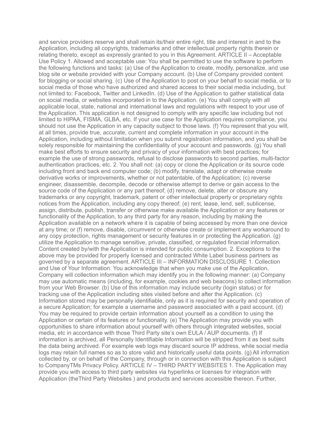and service providers reserve and shall retain its/their entire right, title and interest in and to the Application, including all copyrights, trademarks and other intellectual property rights therein or relating thereto, except as expressly granted to you in this Agreement. ARTICLE II – Acceptable Use Policy 1. Allowed and acceptable use: You shall be permitted to use the software to perform the following functions and tasks: (a) Use of the Application to create, modify, personalize, and use blog site or website provided with your Company account. (b) Use of Company provided content for blogging or social sharing. (c) Use of the Application to post on your behalf to social media, or to social media of those who have authorized and shared access to their social media including, but not limited to: Facebook, Twitter and LinkedIn. (d) Use of the Application to gather statistical data on social media, or websites incorporated in to the Application. (e) You shall comply with all applicable local, state, national and international laws and regulations with respect to your use of the Application. This application is not designed to comply with any specific law including but not limited to HIPAA, FISMA, GLBA, etc. If your use case for the Application requires compliance, you should not use the Application in any capacity subject to those laws. (f) You represent that you will, at all times, provide true, accurate, current and complete information in your account in the Application, including without limitation when you submit registration information, and you shall be solely responsible for maintaining the confidentiality of your account and passwords. (g) You shall make best efforts to ensure security and privacy of your information with best practices; for example the use of strong passwords, refusal to disclose passwords to second parties, multi-factor authentication practices, etc. 2. You shall not: (a) copy or clone the Application or its source code including front and back end computer code; (b) modify, translate, adapt or otherwise create derivative works or improvements, whether or not patentable, of the Application; (c) reverse engineer, disassemble, decompile, decode or otherwise attempt to derive or gain access to the source code of the Application or any part thereof; (d) remove, delete, alter or obscure any trademarks or any copyright, trademark, patent or other intellectual property or proprietary rights notices from the Application, including any copy thereof; (e) rent, lease, lend, sell, sublicense, assign, distribute, publish, transfer or otherwise make available the Application or any features or functionality of the Application, to any third party for any reason, including by making the Application available on a network where it is capable of being accessed by more than one device at any time; or (f) remove, disable, circumvent or otherwise create or implement any workaround to any copy protection, rights management or security features in or protecting the Application. (g) utilize the Application to manage sensitive, private, classified, or regulated financial information. Content created by/with the Application is intended for public consumption. 2. Exceptions to the above may be provided for properly licensed and contracted White Label business partners as governed by a separate agreement. ARTICLE III – INFORMATION DISCLOSURE 1. Collection and Use of Your Information. You acknowledge that when you make use of the Application, Company will collection information which may identify you in the following manner: (a) Company may use automatic means (including, for example, cookies and web beacons) to collect information from your Web Browser. (b) Use of this information may include security (login status) or for tracking use of the Application including sites visited before and after the Application. (c) Information stored may be personally identifiable, only as it is required for security and operation of a secure Application; for example a username and password associated with a paid account. (d) You may be required to provide certain information about yourself as a condition to using the Application or certain of its features or functionality. (e) The Application may provide you with opportunities to share information about yourself with others through integrated websites, social media, etc in accordance with those Third Party site's own EULA / AUP documents. (f) If information is archived, all Personally Identifiable Information will be stripped from it as best suits the data being archived. For example web logs may discard source IP address, while social media logs may retain full names so as to store valid and historically useful data points. (g) All information collected by, or on behalf of the Company, through or in connection with this Application is subject to CompanyTMs Privacy Policy. ARTICLE IV – THIRD PARTY WEBSITES 1. The Application may provide you with access to third party websites via hyperlinks or licenses for integration with Application (theThird Party Websites ) and products and services accessible thereon. Further,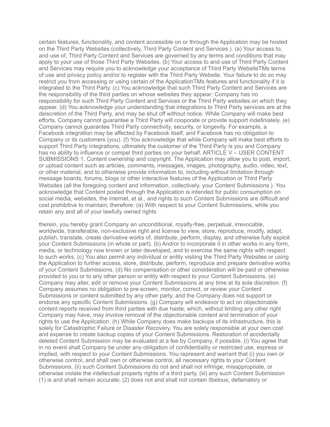certain features, functionality, and content accessible on or through the Application may be hosted on the Third Party Websites (collectively, Third Party Content and Services ). (a) Your access to, and use of, Third Party Content and Services are governed by any terms and conditions that may apply to your use of those Third Party Websites. (b) Your access to and use of Third Party Content and Services may require you to acknowledge your acceptance of Third Party WebsiteTMs terms of use and privacy policy and/or to register with the Third Party Website. Your failure to do so may restrict you from accessing or using certain of the ApplicationTMs features and functionality if it is integrated to the Third Party. (c) You acknowledge that such Third Party Content and Services are the responsibility of the third parties on whose websites they appear; Company has no responsibility for such Third Party Content and Services or the Third Party websites on which they appear. (d) You acknowledge your understanding that integrations to Third Party services are at the deiscretion of the Third Party, and may be shut off without notice. While Company will make best efforts, Company cannot guarantee a Third Party will cooporate or provide support indefiniately. (e) Company cannot guarantee Third Party connectivity, security, or longevity. For example, a Facebook integration may be affected by Facebook itself, and Facebook has no obligation to Company or its customers (you). (f) You acknowledge that while Company will make best efforts to support Third Party integrations, ultimately the customer of the Third Party is you and Company has no ability to influence or compel third parties on your behalf. ARTICLE V – USER CONTENT SUBMISSIONS 1. Content ownership and copyright. The Application may allow you to post, import, or upload content such as articles, comments, messages, images, photography, audio, video, text, or other material, and to otherwise provide information to, including without limitation through message boards, forums, blogs or other interactive features of the Application or Third Party Websites (all the foregoing content and information, collectively, your Content Submissions ). You acknowledge that Content posted through the Application is intended for public consumption on social media, websites, the internet, et al., and rights to such Content Submissions are difficult and cost prohibitive to maintain; therefore: (a) With respect to your Content Submissions, while you retain any and all of your lawfully owned rights

therein, you hereby grant Company an unconditional, royalty-free, perpetual, irrevocable, worldwide, transferable, non-exclusive right and license to view, store, reproduce, modify, adapt, publish, translate, create derivative works of, distribute, perform, display, and otherwise fully exploit your Content Submissions (in whole or part). (b) And/or to incorporate it in other works in any form, media, or technology now known or later developed, and to exercise the same rights with respect to such works. (c) You also permit any individual or entity visiting the Third Party Websites or using the Application to further access, store, distribute, perform, reproduce and prepare derivative works of your Content Submissions. (d) No compensation or other consideration will be paid or otherwise provided to you or to any other person or entity with respect to your Content Submissions. (e) Company may alter, edit or remove your Content Submissions at any time at its sole discretion. (f) Company assumes no obligation to pre-screen, monitor, correct, or review your Content Submissions or content submitted by any other party, and the Company does not support or endorse any specific Content Submissions. (g) Company will endeavor to act on objectionable content reports received from third parties with due haste, which, without limiting any other right Company may have, may involve removal of the objectionable content and termination of your rights to use the Application. (h) While Company does make backups of its infrastructure, this is solely for Catastrophic Failure or Disaster Recovery. You are solely responsible at your own cost and expense to create backup copies of your Content Submissions. Restoration of accidentally deleted Content Submission may be evaluated at a fee by Company, if possible. (i) You agree that in no event shall Company be under any obligation of confidentiality or restricted use, express or implied, with respect to your Content Submissions. You represent and warrant that (i) you own or otherwise control, and shall own or otherwise control, all necessary rights to your Content Submissions, (ii) such Content Submissions do not and shall not infringe, misappropriate, or otherwise violate the intellectual property rights of a third party, (iii) any such Content Submission (1) is and shall remain accurate; (2) does not and shall not contain libelous, defamatory or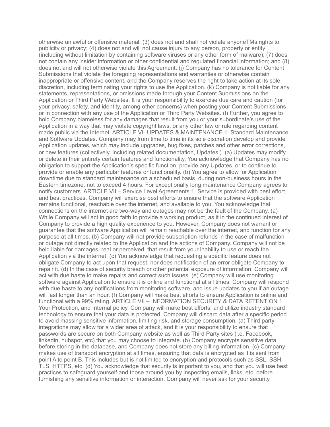otherwise unlawful or offensive material; (3) does not and shall not violate anyoneTMs rights to publicity or privacy; (4) does not and will not cause injury to any person, property or entity (including without limitation by containing software viruses or any other form of malware); (7) does not contain any insider information or other confidential and regulated financial information; and (8) does not and will not otherwise violate this Agreement. (j) Company has no tolerance for Content Submissions that violate the foregoing representations and warranties or otherwise contain inappropriate or offensive content, and the Company reserves the right to take action at its sole discretion, including terminating your rights to use the Application. (k) Company is not liable for any statements, representations, or omissions made through your Content Submissions on the Application or Third Party Websites. It is your responsibility to exercise due care and caution (for your privacy, safety, and identity, among other concerns) when posting your Content Submissions or in connection with any use of the Application or Third Party Websites. (l) Further, you agree to hold Company blameless for any damages that result from you or your subordinate's use of the Application in a way that may violate copyright laws, or any other law or rule regarding content made public via the Internet. ARTICLE VI- UPDATES & MAINTENANCE 1. Standard Maintenance and Software Updates. Company may from time to time in its sole discretion develop and provide Application updates, which may include upgrades, bug fixes, patches and other error corrections, or new features (collectively, including related documentation, Updates ). (a) Updates may modify or delete in their entirety certain features and functionality. You acknowledge that Company has no obligation to support the Application's specific function, provide any Updates, or to continue to provide or enable any particular features or functionality. (b) You agree to allow for Application downtime due to standard maintenance on a scheduled basis, during non-business hours in the Eastern timezone, not to exceed 4 hours. For exceptionally long maintenance Company agrees to notify customers. ARTICLE VII – Service Level Agreements 1. Service is provided with best effort, and best practices. Company will exercise best efforts to ensure that the software Application remains functional, reachable over the internet, and available to you. You acknowledge that connections on the internet are two-way and outages may not be the fault of the Company. (a) While Company will act in good faith to provide a working product, as it in the continued interest of Company to provide a high quality experience to you. However, Company does not warrant or guarantee that the software Application will remain reachable over the internet, and function for any purpose at all times. (b) Company will not provide subscription refunds in the case of malfunction or outage not directly related to the Application and the actions of Company. Company will not be held liable for damages, real or perceived, that result from your inability to use or reach the Application via the internet. (c) You acknowledge that requesting a specific feature does not obligate Company to act upon that request, nor does notification of an error obligate Company to repair it. (d) In the case of security breach or other potential exposure of information, Company will act with due haste to make repairs and correct such issues. (e) Company will use monitoring software against Application to ensure it is online and functional at all times. Company will respond with due haste to any notifications from monitoring software, and issue updates to you if an outage will last longer than an hour. (f) Company will make best efforts to ensure Application is online and functional with a 99% rating. ARTICLE VII – INFORMATION SECURITY & DATA RETENTION 1. Your Protection, and Internal policy. Company will make best efforts, and utilize industry standard technology to ensure that your data is protected. Company will discard data after a specific period to avoid massing sensitive information, limiting risk, and storage consumption. (a) Third party integrations may allow for a wider area of attack, and it is your responsibility to ensure that passwords are secure on both Company website as well as Third Party sites (i.e. Facebook, linkedin, hubspot, etc) that you may choose to integrate. (b) Company encrypts sensitive data before storing in the database, and Company does not store any billing information. (c) Company makes use of transport encryption at all times, ensuring that data is encrypted as it is sent from point A to point B. This includes but is not limited to encryption and protocols such as SSL, SSH, TLS, HTTPS, etc. (d) You acknowledge that security is important to you, and that you will use best practices to safeguard yourself and those around you by inspecting emails, links, etc. before furnishing any sensitive information or interaction. Company will never ask for your security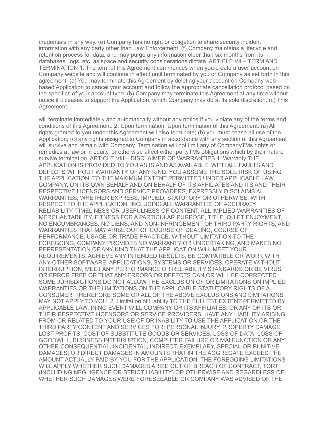credentials in any way. (e) Company has no right or obligation to share security incident information with any party other than Law Enforcement. (f) Company maintains a lifecycle and retention process for data, and may purge any information older than six months from its databases, logs, etc. as space and security considerations dictate. ARTICLE VII – TERM AND TERMINATION 1. The term of this Agreement commences when you create a user account on Company website and will continue in effect until terminated by you or Company as set forth in this agreement. (a) You may terminate this Agreement by deleting your account on Company webbased Application to cancel your account and follow the appropriate cancellation protocol based on the specifics of your account type. (b) Company may terminate this Agreement at any time without notice if it ceases to support the Application, which Company may do at its sole discretion. (c) This Agreement

will terminate immediately and automatically without any notice if you violate any of the terms and conditions of this Agreement. 2. Upon termination. Upon termination of this Agreement: (a) All rights granted to you under this Agreement will also terminate; (b) you must cease all use of the Application; (c) any rights assigned to Company in accordance with any section of this Agreement will survive and remain with Company. Termination will not limit any of CompanyTMs rights or remedies at law or in equity, or otherwise affect either partyTMs obligations which by their nature survive termination. ARTICLE VIII – DISCLAIMER OF WARRANTIES 1. Warranty THE APPLICATION IS PROVIDED TO YOU AS IS AND AS AVAILABLE, WITH ALL FAULTS AND DEFECTS WITHOUT WARRANTY OF ANY KIND. YOU ASSUME THE SOLE RISK OF USING THE APPLICATION. TO THE MAXIMUM EXTENT PERMITTED UNDER APPLICABLE LAW, COMPANY, ON ITS OWN BEHALF AND ON BEHALF OF ITS AFFILIATES AND ITS AND THEIR RESPECTIVE LICENSORS AND SERVICE PROVIDERS, EXPRESSLY DISCLAIMS ALL WARRANTIES, WHETHER EXPRESS, IMPLIED, STATUTORY OR OTHERWISE, WITH RESPECT TO THE APPLICATION, INCLUDING ALL WARRANTIES OF ACCURACY, RELIABILITY, TIMELINESS OR USEFULNESS OF CONTENT, ALL IMPLIED WARRANTIES OF MERCHANTABILITY, FITNESS FOR A PARTICULAR PURPOSE, TITLE, QUIET ENJOYMENT, NO ENCUMBRANCES, NO LIENS, AND NON-INFRINGEMENT OF THIRD PARTY RIGHTS, AND WARRANTIES THAT MAY ARISE OUT OF COURSE OF DEALING, COURSE OF PERFORMANCE, USAGE OR TRADE PRACTICE. WITHOUT LIMITATION TO THE FOREGOING, COMPANY PROVIDES NO WARRANTY OR UNDERTAKING, AND MAKES NO REPRESENTATION OF ANY KIND THAT THE APPLICATION WILL MEET YOUR REQUIREMENTS, ACHIEVE ANY INTENDED RESULTS, BE COMPATIBLE OR WORK WITH ANY OTHER SOFTWARE, APPLICATIONS, SYSTEMS OR SERVICES, OPERATE WITHOUT INTERRUPTION, MEET ANY PERFORMANCE OR RELIABILITY STANDARDS OR BE VIRUS OR ERROR FREE OR THAT ANY ERRORS OR DEFECTS CAN OR WILL BE CORRECTED. SOME JURISDICTIONS DO NOT ALLOW THE EXCLUSION OF OR LIMITATIONS ON IMPLIED WARRANTIES OR THE LIMITATIONS ON THE APPLICABLE STATUTORY RIGHTS OF A CONSUMER, THEREFORE SOME OR ALL OF THE ABOVE EXCLUSIONS AND LIMITATIONS MAY NOT APPLY TO YOU. 2. Limitation of Liability TO THE FULLEST EXTENT PERMITTED BY APPLICABLE LAW, IN NO EVENT WILL COMPANY OR ITS AFFILIATES, OR ANY OF ITS OR THEIR RESPECTIVE LICENSORS OR SERVICE PROVIDERS, HAVE ANY LIABILITY ARISING FROM OR RELATED TO YOUR USE OF OR INABILITY TO USE THE APPLICATION OR THE THIRD PARTY CONTENT AND SERVICES FOR: PERSONAL INJURY, PROPERTY DAMAGE, LOST PROFITS, COST OF SUBSTITUTE GOODS OR SERVICES, LOSS OF DATA, LOSS OF GOODWILL, BUSINESS INTERRUPTION, COMPUTER FAILURE OR MALFUNCTION OR ANY OTHER CONSEQUENTIAL, INCIDENTAL, INDIRECT, EXEMPLARY, SPECIAL OR PUNITIVE DAMAGES; OR DIRECT DAMAGES IN AMOUNTS THAT IN THE AGGREGATE EXCEED THE AMOUNT ACTUALLY PAID BY YOU FOR THE APPLICATION. THE FOREGOING LIMITATIONS WILL APPLY WHETHER SUCH DAMAGES ARISE OUT OF BREACH OF CONTRACT, TORT (INCLUDING NEGLIGENCE OR STRICT LIABILITY) OR OTHERWISE AND REGARDLESS OF WHETHER SUCH DAMAGES WERE FORESEEABLE OR COMPANY WAS ADVISED OF THE